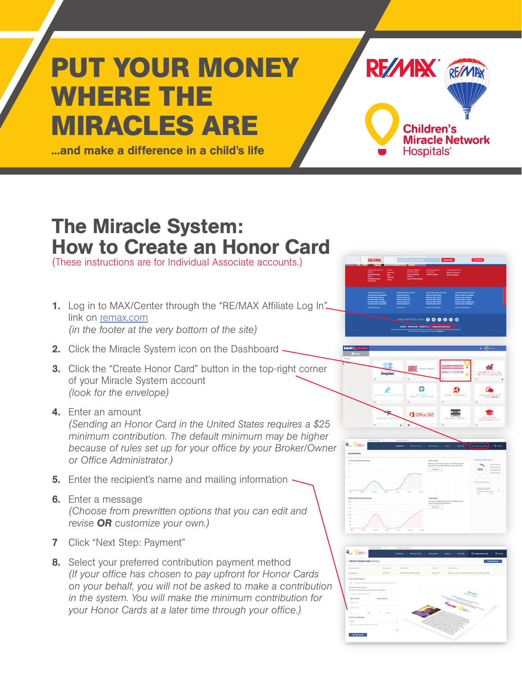## **PUT YOUR MONEY WHERE THE MIRACLES ARE**

...and make a difference in a child's life

## The Miracle System: How to Create an Honor Card

(These instructions are for Individual Associate accounts.)

- 1. Log in to MAX/Center through the "RE/MAX Affiliate Log In" link on [remax.com](http://www.remax.com) *(in the footer at the very bottom of the site)*
- 2. Click the Miracle System icon on the Dashboard -
- **3.** Click the "Create Honor Card" button in the top-right corner of your Miracle System account *(look for the envelope)*
- 4. Enter an amount

*(Sending an Honor Card in the United States requires a \$25 minimum contribution. The default minimum may be higher because of rules set up for your office by your Broker/Owner or Office Administrator.)*

- **5.** Enter the recipient's name and mailing information  $\sim$
- 6. Enter a message *(Choose from prewritten options that you can edit and revise OR customize your own.)*
- 7 Click "Next Step: Payment"
- 8. Select your preferred contribution payment method *(If your office has chosen to pay upfront for Honor Cards on your behalf, you will not be asked to make a contribution in the system. You will make the minimum contribution for your Honor Cards at a later time through your office.)*



RF/MIX REMAR

**Children's** 

Hospitals<sup>®</sup>

**Miracle Network**